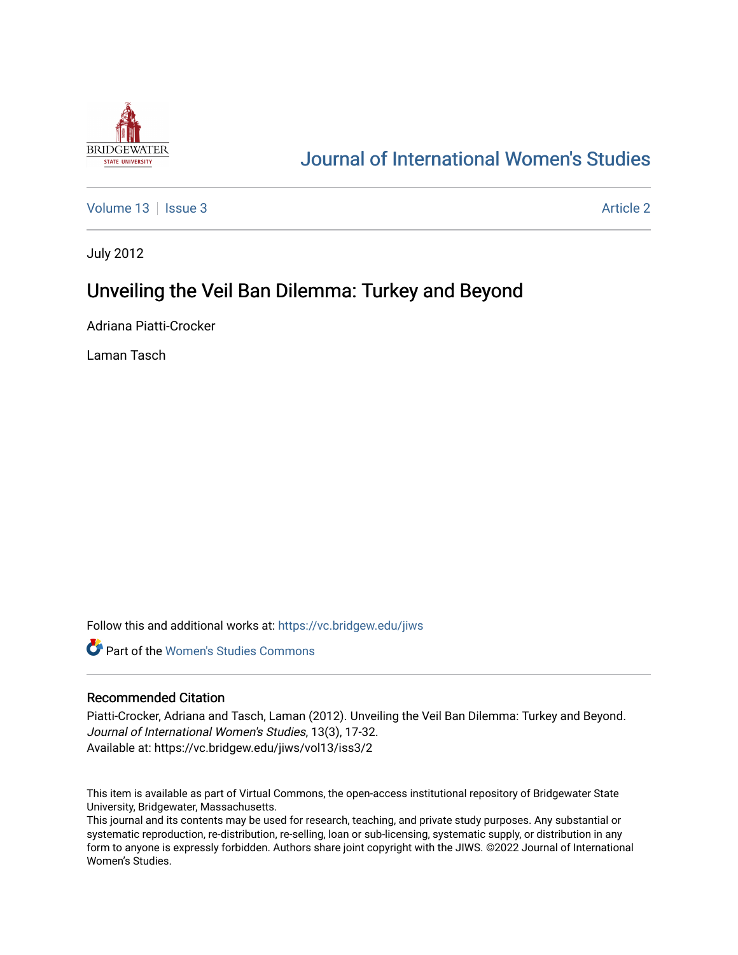

# [Journal of International Women's Studies](https://vc.bridgew.edu/jiws)

[Volume 13](https://vc.bridgew.edu/jiws/vol13) | [Issue 3](https://vc.bridgew.edu/jiws/vol13/iss3) [Article 2](https://vc.bridgew.edu/jiws/vol13/iss3/2) Article 2 Article 2 Article 2 Article 2 Article 2 Article 2 Article 2 Article 2

July 2012

# Unveiling the Veil Ban Dilemma: Turkey and Beyond

Adriana Piatti-Crocker

Laman Tasch

Follow this and additional works at: [https://vc.bridgew.edu/jiws](https://vc.bridgew.edu/jiws?utm_source=vc.bridgew.edu%2Fjiws%2Fvol13%2Fiss3%2F2&utm_medium=PDF&utm_campaign=PDFCoverPages)

**C** Part of the Women's Studies Commons

#### Recommended Citation

Piatti-Crocker, Adriana and Tasch, Laman (2012). Unveiling the Veil Ban Dilemma: Turkey and Beyond. Journal of International Women's Studies, 13(3), 17-32. Available at: https://vc.bridgew.edu/jiws/vol13/iss3/2

This item is available as part of Virtual Commons, the open-access institutional repository of Bridgewater State University, Bridgewater, Massachusetts.

This journal and its contents may be used for research, teaching, and private study purposes. Any substantial or systematic reproduction, re-distribution, re-selling, loan or sub-licensing, systematic supply, or distribution in any form to anyone is expressly forbidden. Authors share joint copyright with the JIWS. ©2022 Journal of International Women's Studies.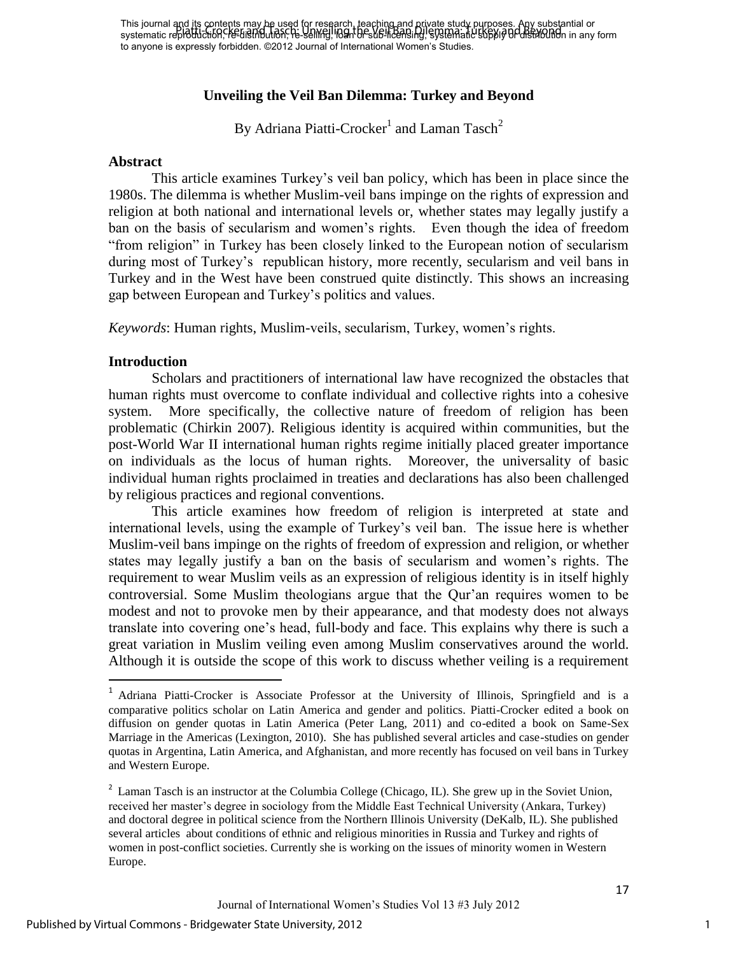This journal and its contents may be used for research, teaching and private study purposes. Any substantial or This journal and the Chickis may detailed in the United States and Divide States by Pubbosca. The Substantial o<br>systematic reproduction, Ke-tristribution, he selling it in an offer a fact the Veil Ban Dilemma: Turkey and B to anyone is expressly forbidden. ©2012 Journal of International Women's Studies.

### **Unveiling the Veil Ban Dilemma: Turkey and Beyond**

By Adriana Piatti-Crocker $^1$  and Laman Tasch $^2$ 

#### **Abstract**

This article examines Turkey"s veil ban policy, which has been in place since the 1980s. The dilemma is whether Muslim-veil bans impinge on the rights of expression and religion at both national and international levels or, whether states may legally justify a ban on the basis of secularism and women"s rights. Even though the idea of freedom "from religion" in Turkey has been closely linked to the European notion of secularism during most of Turkey"s republican history, more recently, secularism and veil bans in Turkey and in the West have been construed quite distinctly. This shows an increasing gap between European and Turkey"s politics and values.

*Keywords*: Human rights, Muslim-veils, secularism, Turkey, women's rights.

#### **Introduction**

 $\overline{\phantom{a}}$ 

Scholars and practitioners of international law have recognized the obstacles that human rights must overcome to conflate individual and collective rights into a cohesive system. More specifically, the collective nature of freedom of religion has been problematic (Chirkin 2007). Religious identity is acquired within communities, but the post-World War II international human rights regime initially placed greater importance on individuals as the locus of human rights. Moreover, the universality of basic individual human rights proclaimed in treaties and declarations has also been challenged by religious practices and regional conventions.

This article examines how freedom of religion is interpreted at state and international levels, using the example of Turkey"s veil ban. The issue here is whether Muslim-veil bans impinge on the rights of freedom of expression and religion, or whether states may legally justify a ban on the basis of secularism and women"s rights. The requirement to wear Muslim veils as an expression of religious identity is in itself highly controversial. Some Muslim theologians argue that the Qur"an requires women to be modest and not to provoke men by their appearance, and that modesty does not always translate into covering one"s head, full-body and face. This explains why there is such a great variation in Muslim veiling even among Muslim conservatives around the world. Although it is outside the scope of this work to discuss whether veiling is a requirement

<sup>&</sup>lt;sup>1</sup> Adriana Piatti-Crocker is Associate Professor at the University of Illinois, Springfield and is a comparative politics scholar on Latin America and gender and politics. Piatti-Crocker edited a book on diffusion on gender quotas in Latin America (Peter Lang, 2011) and co-edited a book on Same-Sex Marriage in the Americas (Lexington, 2010). She has published several articles and case-studies on gender quotas in Argentina, Latin America, and Afghanistan, and more recently has focused on veil bans in Turkey and Western Europe.

<sup>&</sup>lt;sup>2</sup> Laman Tasch is an instructor at the Columbia College (Chicago, IL). She grew up in the Soviet Union, received her master"s degree in sociology from the Middle East Technical University (Ankara, Turkey) and doctoral degree in political science from the Northern Illinois University (DeKalb, IL). She published several articles about conditions of ethnic and religious minorities in Russia and Turkey and rights of women in post-conflict societies. Currently she is working on the issues of minority women in Western Europe.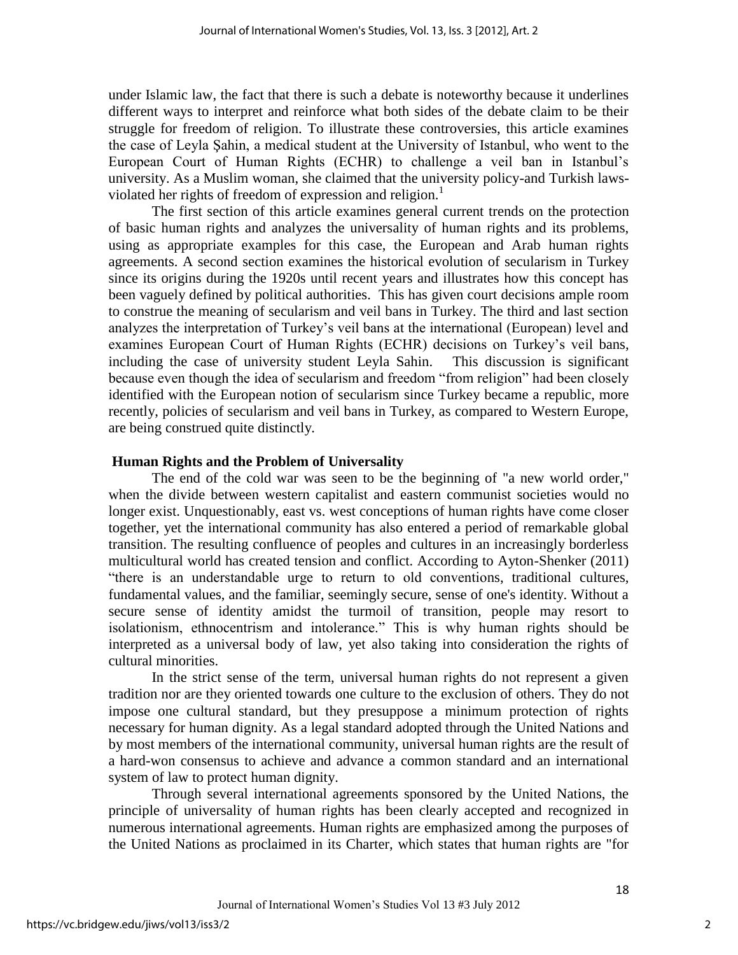under Islamic law, the fact that there is such a debate is noteworthy because it underlines different ways to interpret and reinforce what both sides of the debate claim to be their struggle for freedom of religion. To illustrate these controversies, this article examines the case of Leyla Şahin, a medical student at the University of Istanbul, who went to the European Court of Human Rights (ECHR) to challenge a veil ban in Istanbul"s university. As a Muslim woman, she claimed that the university policy-and Turkish lawsviolated her rights of freedom of expression and religion.<sup>1</sup>

The first section of this article examines general current trends on the protection of basic human rights and analyzes the universality of human rights and its problems, using as appropriate examples for this case, the European and Arab human rights agreements. A second section examines the historical evolution of secularism in Turkey since its origins during the 1920s until recent years and illustrates how this concept has been vaguely defined by political authorities. This has given court decisions ample room to construe the meaning of secularism and veil bans in Turkey. The third and last section analyzes the interpretation of Turkey"s veil bans at the international (European) level and examines European Court of Human Rights (ECHR) decisions on Turkey"s veil bans, including the case of university student Leyla Sahin. This discussion is significant because even though the idea of secularism and freedom "from religion" had been closely identified with the European notion of secularism since Turkey became a republic, more recently, policies of secularism and veil bans in Turkey, as compared to Western Europe, are being construed quite distinctly.

#### **Human Rights and the Problem of Universality**

The end of the cold war was seen to be the beginning of "a new world order," when the divide between western capitalist and eastern communist societies would no longer exist. Unquestionably, east vs. west conceptions of human rights have come closer together, yet the international community has also entered a period of remarkable global transition. The resulting confluence of peoples and cultures in an increasingly borderless multicultural world has created tension and conflict. According to Ayton-Shenker (2011) "there is an understandable urge to return to old conventions, traditional cultures, fundamental values, and the familiar, seemingly secure, sense of one's identity. Without a secure sense of identity amidst the turmoil of transition, people may resort to isolationism, ethnocentrism and intolerance." This is why human rights should be interpreted as a universal body of law, yet also taking into consideration the rights of cultural minorities.

In the strict sense of the term, universal human rights do not represent a given tradition nor are they oriented towards one culture to the exclusion of others. They do not impose one cultural standard, but they presuppose a minimum protection of rights necessary for human dignity. As a legal standard adopted through the United Nations and by most members of the international community, universal human rights are the result of a hard-won consensus to achieve and advance a common standard and an international system of law to protect human dignity.

Through several international agreements sponsored by the United Nations, the principle of universality of human rights has been clearly accepted and recognized in numerous international agreements. Human rights are emphasized among the purposes of the United Nations as proclaimed in its Charter, which states that human rights are "for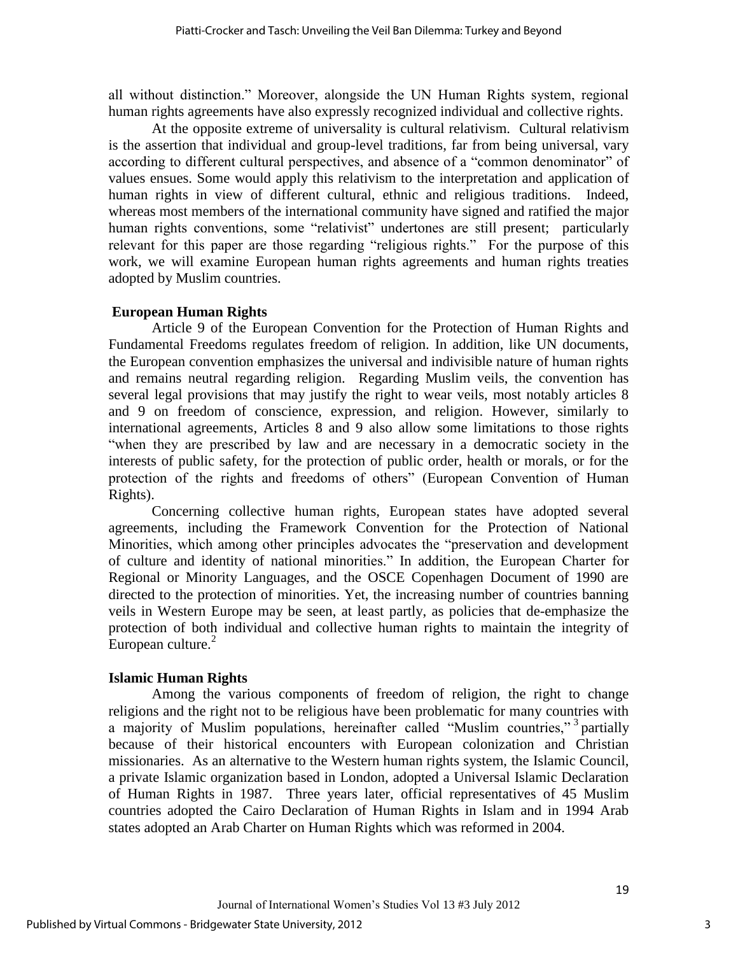all without distinction." Moreover, alongside the UN Human Rights system, regional human rights agreements have also expressly recognized individual and collective rights.

 At the opposite extreme of universality is cultural relativism. Cultural relativism is the assertion that individual and group-level traditions, far from being universal, vary according to different cultural perspectives, and absence of a "common denominator" of values ensues. Some would apply this relativism to the interpretation and application of human rights in view of different cultural, ethnic and religious traditions. Indeed, whereas most members of the international community have signed and ratified the major human rights conventions, some "relativist" undertones are still present; particularly relevant for this paper are those regarding "religious rights." For the purpose of this work, we will examine European human rights agreements and human rights treaties adopted by Muslim countries.

# **European Human Rights**

Article 9 of the European Convention for the Protection of Human Rights and Fundamental Freedoms regulates freedom of religion. In addition, like UN documents, the European convention emphasizes the universal and indivisible nature of human rights and remains neutral regarding religion. Regarding Muslim veils, the convention has several legal provisions that may justify the right to wear veils, most notably articles 8 and 9 on freedom of conscience, expression, and religion. However, similarly to international agreements, Articles 8 and 9 also allow some limitations to those rights "when they are prescribed by law and are necessary in a democratic society in the interests of public safety, for the protection of public order, health or morals, or for the protection of the rights and freedoms of others" (European Convention of Human Rights).

Concerning collective human rights, European states have adopted several agreements, including the Framework Convention for the Protection of National Minorities, which among other principles advocates the "preservation and development of culture and identity of national minorities." In addition, the European Charter for Regional or Minority Languages, and the OSCE Copenhagen Document of 1990 are directed to the protection of minorities. Yet, the increasing number of countries banning veils in Western Europe may be seen, at least partly, as policies that de-emphasize the protection of both individual and collective human rights to maintain the integrity of European culture. $2$ 

# **Islamic Human Rights**

 Among the various components of freedom of religion, the right to change religions and the right not to be religious have been problematic for many countries with a majority of Muslim populations, hereinafter called "Muslim countries,"<sup>3</sup> partially because of their historical encounters with European colonization and Christian missionaries. As an alternative to the Western human rights system, the Islamic Council, a private Islamic organization based in London, adopted a Universal Islamic Declaration of Human Rights in 1987. Three years later, official representatives of 45 Muslim countries adopted the Cairo Declaration of Human Rights in Islam and in 1994 Arab states adopted an Arab Charter on Human Rights which was reformed in 2004.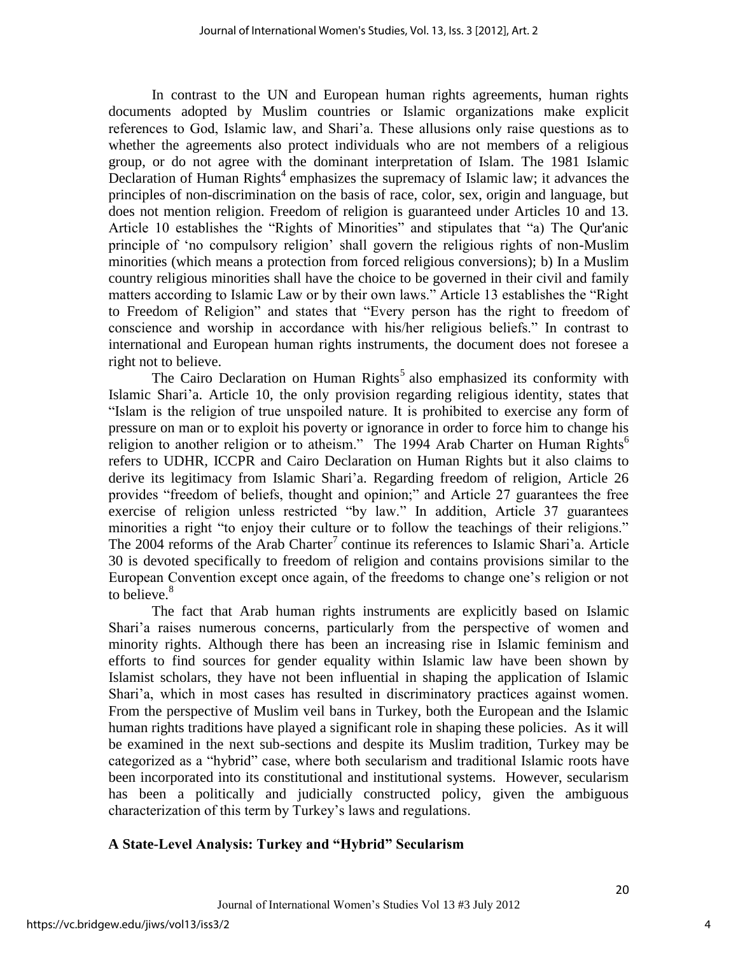In contrast to the UN and European human rights agreements, human rights documents adopted by Muslim countries or Islamic organizations make explicit references to God, Islamic law, and Shari"a. These allusions only raise questions as to whether the agreements also protect individuals who are not members of a religious group, or do not agree with the dominant interpretation of Islam. The 1981 Islamic Declaration of Human Rights<sup>4</sup> emphasizes the supremacy of Islamic law; it advances the principles of non-discrimination on the basis of race, color, sex, origin and language, but does not mention religion. Freedom of religion is guaranteed under Articles 10 and 13. Article 10 establishes the "Rights of Minorities" and stipulates that "a) The Qur'anic principle of "no compulsory religion" shall govern the religious rights of non-Muslim minorities (which means a protection from forced religious conversions); b) In a Muslim country religious minorities shall have the choice to be governed in their civil and family matters according to Islamic Law or by their own laws." Article 13 establishes the "Right to Freedom of Religion" and states that "Every person has the right to freedom of conscience and worship in accordance with his/her religious beliefs." In contrast to international and European human rights instruments, the document does not foresee a right not to believe.

The Cairo Declaration on Human Rights<sup>5</sup> also emphasized its conformity with Islamic Shari'a. Article 10, the only provision regarding religious identity, states that "Islam is the religion of true unspoiled nature. It is prohibited to exercise any form of pressure on man or to exploit his poverty or ignorance in order to force him to change his religion to another religion or to atheism." The 1994 Arab Charter on Human Rights<sup>6</sup> refers to UDHR, ICCPR and Cairo Declaration on Human Rights but it also claims to derive its legitimacy from Islamic Shari"a. Regarding freedom of religion, Article 26 provides "freedom of beliefs, thought and opinion;" and Article 27 guarantees the free exercise of religion unless restricted "by law." In addition, Article 37 guarantees minorities a right "to enjoy their culture or to follow the teachings of their religions." The  $2004$  reforms of the Arab Charter<sup>7</sup> continue its references to Islamic Shari'a. Article 30 is devoted specifically to freedom of religion and contains provisions similar to the European Convention except once again, of the freedoms to change one"s religion or not to believe.<sup>8</sup>

The fact that Arab human rights instruments are explicitly based on Islamic Shari'a raises numerous concerns, particularly from the perspective of women and minority rights. Although there has been an increasing rise in Islamic feminism and efforts to find sources for gender equality within Islamic law have been shown by Islamist scholars, they have not been influential in shaping the application of Islamic Shari'a, which in most cases has resulted in discriminatory practices against women. From the perspective of Muslim veil bans in Turkey, both the European and the Islamic human rights traditions have played a significant role in shaping these policies. As it will be examined in the next sub-sections and despite its Muslim tradition, Turkey may be categorized as a "hybrid" case, where both secularism and traditional Islamic roots have been incorporated into its constitutional and institutional systems. However, secularism has been a politically and judicially constructed policy, given the ambiguous characterization of this term by Turkey"s laws and regulations.

# **A State-Level Analysis: Turkey and "Hybrid" Secularism**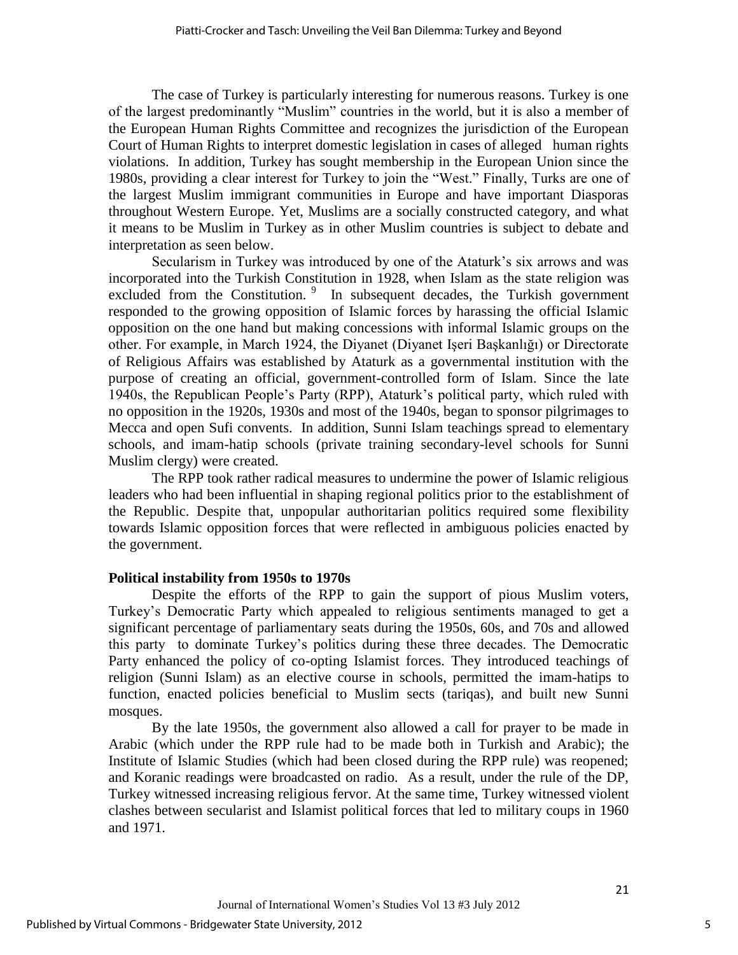The case of Turkey is particularly interesting for numerous reasons. Turkey is one of the largest predominantly "Muslim" countries in the world, but it is also a member of the European Human Rights Committee and recognizes the jurisdiction of the European Court of Human Rights to interpret domestic legislation in cases of alleged human rights violations. In addition, Turkey has sought membership in the European Union since the 1980s, providing a clear interest for Turkey to join the "West." Finally, Turks are one of the largest Muslim immigrant communities in Europe and have important Diasporas throughout Western Europe. Yet, Muslims are a socially constructed category, and what it means to be Muslim in Turkey as in other Muslim countries is subject to debate and interpretation as seen below.

Secularism in Turkey was introduced by one of the Ataturk's six arrows and was incorporated into the Turkish Constitution in 1928, when Islam as the state religion was excluded from the Constitution.<sup>9</sup> In subsequent decades, the Turkish government responded to the growing opposition of Islamic forces by harassing the official Islamic opposition on the one hand but making concessions with informal Islamic groups on the other. For example, in March 1924, the Diyanet (Diyanet Işeri Başkanlığı) or Directorate of Religious Affairs was established by Ataturk as a governmental institution with the purpose of creating an official, government-controlled form of Islam. Since the late 1940s, the Republican People"s Party (RPP), Ataturk"s political party, which ruled with no opposition in the 1920s, 1930s and most of the 1940s, began to sponsor pilgrimages to Mecca and open Sufi convents. In addition, Sunni Islam teachings spread to elementary schools, and imam-hatip schools (private training secondary-level schools for Sunni Muslim clergy) were created.

The RPP took rather radical measures to undermine the power of Islamic religious leaders who had been influential in shaping regional politics prior to the establishment of the Republic. Despite that, unpopular authoritarian politics required some flexibility towards Islamic opposition forces that were reflected in ambiguous policies enacted by the government.

#### **Political instability from 1950s to 1970s**

Despite the efforts of the RPP to gain the support of pious Muslim voters, Turkey"s Democratic Party which appealed to religious sentiments managed to get a significant percentage of parliamentary seats during the 1950s, 60s, and 70s and allowed this party to dominate Turkey"s politics during these three decades. The Democratic Party enhanced the policy of co-opting Islamist forces. They introduced teachings of religion (Sunni Islam) as an elective course in schools, permitted the imam-hatips to function, enacted policies beneficial to Muslim sects (tariqas), and built new Sunni mosques.

By the late 1950s, the government also allowed a call for prayer to be made in Arabic (which under the RPP rule had to be made both in Turkish and Arabic); the Institute of Islamic Studies (which had been closed during the RPP rule) was reopened; and Koranic readings were broadcasted on radio. As a result, under the rule of the DP, Turkey witnessed increasing religious fervor. At the same time, Turkey witnessed violent clashes between secularist and Islamist political forces that led to military coups in 1960 and 1971.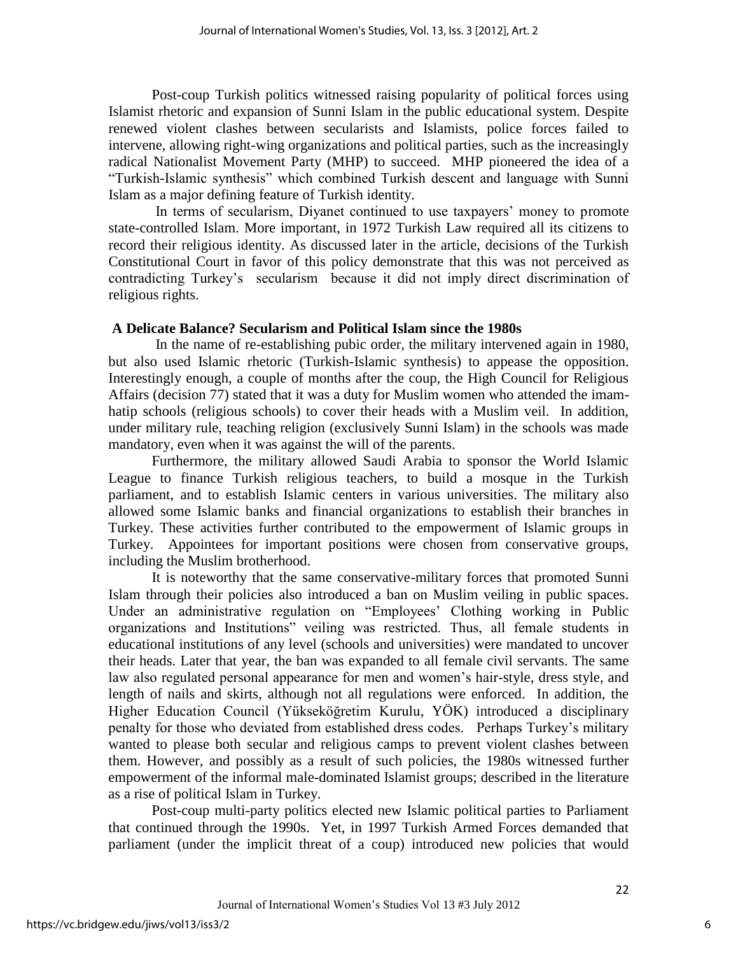Post-coup Turkish politics witnessed raising popularity of political forces using Islamist rhetoric and expansion of Sunni Islam in the public educational system. Despite renewed violent clashes between secularists and Islamists, police forces failed to intervene, allowing right-wing organizations and political parties, such as the increasingly radical Nationalist Movement Party (MHP) to succeed. MHP pioneered the idea of a "Turkish-Islamic synthesis" which combined Turkish descent and language with Sunni Islam as a major defining feature of Turkish identity.

In terms of secularism, Diyanet continued to use taxpayers' money to promote state-controlled Islam. More important, in 1972 Turkish Law required all its citizens to record their religious identity. As discussed later in the article, decisions of the Turkish Constitutional Court in favor of this policy demonstrate that this was not perceived as contradicting Turkey"s secularism because it did not imply direct discrimination of religious rights.

## **A Delicate Balance? Secularism and Political Islam since the 1980s**

 In the name of re-establishing pubic order, the military intervened again in 1980, but also used Islamic rhetoric (Turkish-Islamic synthesis) to appease the opposition. Interestingly enough, a couple of months after the coup, the High Council for Religious Affairs (decision 77) stated that it was a duty for Muslim women who attended the imamhatip schools (religious schools) to cover their heads with a Muslim veil. In addition, under military rule, teaching religion (exclusively Sunni Islam) in the schools was made mandatory, even when it was against the will of the parents.

Furthermore, the military allowed Saudi Arabia to sponsor the World Islamic League to finance Turkish religious teachers, to build a mosque in the Turkish parliament, and to establish Islamic centers in various universities. The military also allowed some Islamic banks and financial organizations to establish their branches in Turkey. These activities further contributed to the empowerment of Islamic groups in Turkey. Appointees for important positions were chosen from conservative groups, including the Muslim brotherhood.

It is noteworthy that the same conservative-military forces that promoted Sunni Islam through their policies also introduced a ban on Muslim veiling in public spaces. Under an administrative regulation on "Employees" Clothing working in Public organizations and Institutions" veiling was restricted. Thus, all female students in educational institutions of any level (schools and universities) were mandated to uncover their heads. Later that year, the ban was expanded to all female civil servants. The same law also regulated personal appearance for men and women's hair-style, dress style, and length of nails and skirts, although not all regulations were enforced. In addition, the Higher Education Council (Yükseköğretim Kurulu, YÖK) introduced a disciplinary penalty for those who deviated from established dress codes. Perhaps Turkey"s military wanted to please both secular and religious camps to prevent violent clashes between them. However, and possibly as a result of such policies, the 1980s witnessed further empowerment of the informal male-dominated Islamist groups; described in the literature as a rise of political Islam in Turkey.

Post-coup multi-party politics elected new Islamic political parties to Parliament that continued through the 1990s. Yet, in 1997 Turkish Armed Forces demanded that parliament (under the implicit threat of a coup) introduced new policies that would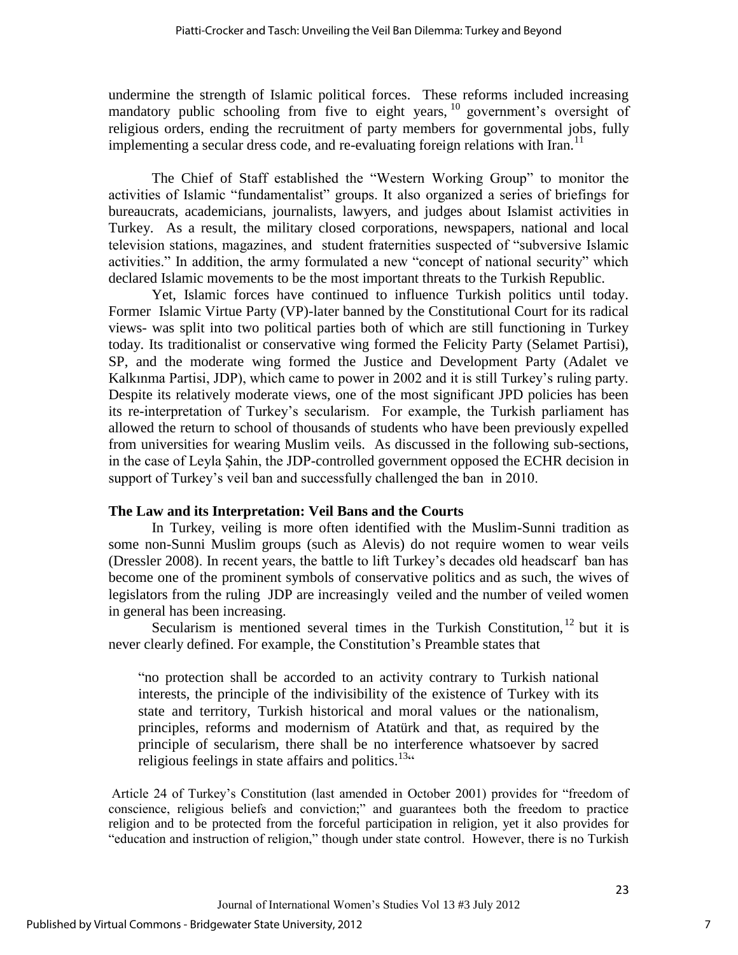undermine the strength of Islamic political forces. These reforms included increasing mandatory public schooling from five to eight years,  $10$  government's oversight of religious orders, ending the recruitment of party members for governmental jobs, fully implementing a secular dress code, and re-evaluating foreign relations with Iran.<sup>11</sup>

The Chief of Staff established the "Western Working Group" to monitor the activities of Islamic "fundamentalist" groups. It also organized a series of briefings for bureaucrats, academicians, journalists, lawyers, and judges about Islamist activities in Turkey. As a result, the military closed corporations, newspapers, national and local television stations, magazines, and student fraternities suspected of "subversive Islamic activities." In addition, the army formulated a new "concept of national security" which declared Islamic movements to be the most important threats to the Turkish Republic.

Yet, Islamic forces have continued to influence Turkish politics until today. Former Islamic Virtue Party (VP)-later banned by the Constitutional Court for its radical views- was split into two political parties both of which are still functioning in Turkey today. Its traditionalist or conservative wing formed the Felicity Party (Selamet Partisi), SP, and the moderate wing formed the Justice and Development Party (Adalet ve Kalkınma Partisi, JDP), which came to power in 2002 and it is still Turkey"s ruling party. Despite its relatively moderate views, one of the most significant JPD policies has been its re-interpretation of Turkey"s secularism. For example, the Turkish parliament has allowed the return to school of thousands of students who have been previously expelled from universities for wearing Muslim veils. As discussed in the following sub-sections, in the case of Leyla Şahin, the JDP-controlled government opposed the ECHR decision in support of Turkey's veil ban and successfully challenged the ban in 2010.

# **The Law and its Interpretation: Veil Bans and the Courts**

In Turkey, veiling is more often identified with the Muslim-Sunni tradition as some non-Sunni Muslim groups (such as Alevis) do not require women to wear veils (Dressler 2008). In recent years, the battle to lift Turkey"s decades old headscarf ban has become one of the prominent symbols of conservative politics and as such, the wives of legislators from the ruling JDP are increasingly veiled and the number of veiled women in general has been increasing.

Secularism is mentioned several times in the Turkish Constitution,  $^{12}$  but it is never clearly defined. For example, the Constitution"s Preamble states that

"no protection shall be accorded to an activity contrary to Turkish national interests, the principle of the indivisibility of the existence of Turkey with its state and territory, Turkish historical and moral values or the nationalism, principles, reforms and modernism of Atatürk and that, as required by the principle of secularism, there shall be no interference whatsoever by sacred religious feelings in state affairs and politics.<sup>13 $\alpha$ </sup>

Article 24 of Turkey"s Constitution (last amended in October 2001) provides for "freedom of conscience, religious beliefs and conviction;" and guarantees both the freedom to practice religion and to be protected from the forceful participation in religion, yet it also provides for "education and instruction of religion," though under state control. However, there is no Turkish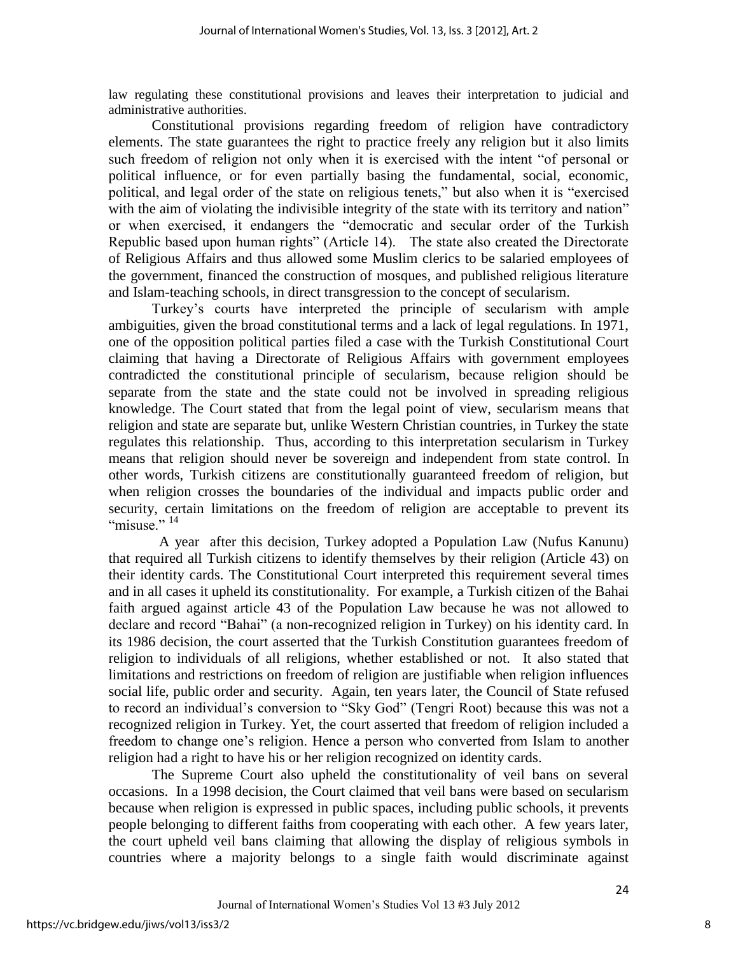law regulating these constitutional provisions and leaves their interpretation to judicial and administrative authorities.

Constitutional provisions regarding freedom of religion have contradictory elements. The state guarantees the right to practice freely any religion but it also limits such freedom of religion not only when it is exercised with the intent "of personal or political influence, or for even partially basing the fundamental, social, economic, political, and legal order of the state on religious tenets," but also when it is "exercised with the aim of violating the indivisible integrity of the state with its territory and nation" or when exercised, it endangers the "democratic and secular order of the Turkish Republic based upon human rights" (Article 14). The state also created the Directorate of Religious Affairs and thus allowed some Muslim clerics to be salaried employees of the government, financed the construction of mosques, and published religious literature and Islam-teaching schools, in direct transgression to the concept of secularism.

Turkey"s courts have interpreted the principle of secularism with ample ambiguities, given the broad constitutional terms and a lack of legal regulations. In 1971, one of the opposition political parties filed a case with the Turkish Constitutional Court claiming that having a Directorate of Religious Affairs with government employees contradicted the constitutional principle of secularism, because religion should be separate from the state and the state could not be involved in spreading religious knowledge. The Court stated that from the legal point of view, secularism means that religion and state are separate but, unlike Western Christian countries, in Turkey the state regulates this relationship. Thus, according to this interpretation secularism in Turkey means that religion should never be sovereign and independent from state control. In other words, Turkish citizens are constitutionally guaranteed freedom of religion, but when religion crosses the boundaries of the individual and impacts public order and security, certain limitations on the freedom of religion are acceptable to prevent its "misuse."  $14$ 

 A year after this decision, Turkey adopted a Population Law (Nufus Kanunu) that required all Turkish citizens to identify themselves by their religion (Article 43) on their identity cards. The Constitutional Court interpreted this requirement several times and in all cases it upheld its constitutionality. For example, a Turkish citizen of the Bahai faith argued against article 43 of the Population Law because he was not allowed to declare and record "Bahai" (a non-recognized religion in Turkey) on his identity card. In its 1986 decision, the court asserted that the Turkish Constitution guarantees freedom of religion to individuals of all religions, whether established or not. It also stated that limitations and restrictions on freedom of religion are justifiable when religion influences social life, public order and security. Again, ten years later, the Council of State refused to record an individual"s conversion to "Sky God" (Tengri Root) because this was not a recognized religion in Turkey. Yet, the court asserted that freedom of religion included a freedom to change one"s religion. Hence a person who converted from Islam to another religion had a right to have his or her religion recognized on identity cards.

The Supreme Court also upheld the constitutionality of veil bans on several occasions. In a 1998 decision, the Court claimed that veil bans were based on secularism because when religion is expressed in public spaces, including public schools, it prevents people belonging to different faiths from cooperating with each other. A few years later, the court upheld veil bans claiming that allowing the display of religious symbols in countries where a majority belongs to a single faith would discriminate against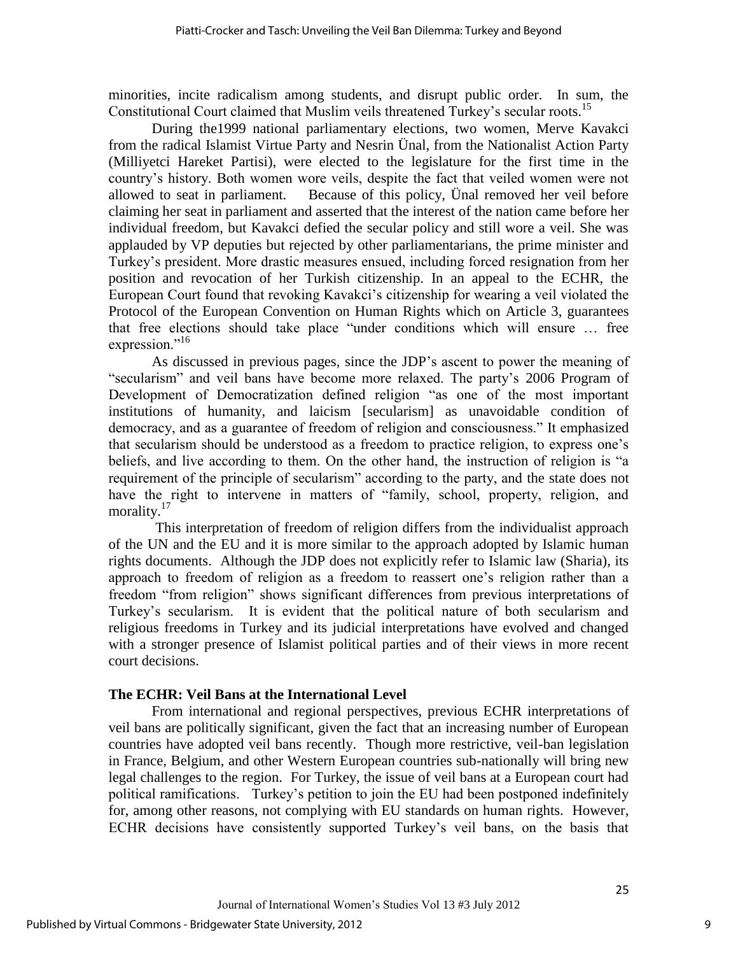minorities, incite radicalism among students, and disrupt public order. In sum, the Constitutional Court claimed that Muslim veils threatened Turkey's secular roots.<sup>15</sup>

During the1999 national parliamentary elections, two women, Merve Kavakci from the radical Islamist Virtue Party and Nesrin Ünal, from the Nationalist Action Party (Milliyetci Hareket Partisi), were elected to the legislature for the first time in the country"s history. Both women wore veils, despite the fact that veiled women were not allowed to seat in parliament. Because of this policy, Ünal removed her veil before claiming her seat in parliament and asserted that the interest of the nation came before her individual freedom, but Kavakci defied the secular policy and still wore a veil. She was applauded by VP deputies but rejected by other parliamentarians, the prime minister and Turkey"s president. More drastic measures ensued, including forced resignation from her position and revocation of her Turkish citizenship. In an appeal to the ECHR, the European Court found that revoking Kavakci"s citizenship for wearing a veil violated the Protocol of the European Convention on Human Rights which on Article 3, guarantees that free elections should take place "under conditions which will ensure … free expression."<sup>16</sup>

As discussed in previous pages, since the JDP"s ascent to power the meaning of "secularism" and veil bans have become more relaxed. The party"s 2006 Program of Development of Democratization defined religion "as one of the most important institutions of humanity, and laicism [secularism] as unavoidable condition of democracy, and as a guarantee of freedom of religion and consciousness." It emphasized that secularism should be understood as a freedom to practice religion, to express one"s beliefs, and live according to them. On the other hand, the instruction of religion is "a requirement of the principle of secularism" according to the party, and the state does not have the right to intervene in matters of "family, school, property, religion, and morality.<sup>17</sup>

This interpretation of freedom of religion differs from the individualist approach of the UN and the EU and it is more similar to the approach adopted by Islamic human rights documents. Although the JDP does not explicitly refer to Islamic law (Sharia), its approach to freedom of religion as a freedom to reassert one"s religion rather than a freedom "from religion" shows significant differences from previous interpretations of Turkey"s secularism. It is evident that the political nature of both secularism and religious freedoms in Turkey and its judicial interpretations have evolved and changed with a stronger presence of Islamist political parties and of their views in more recent court decisions.

### **The ECHR: Veil Bans at the International Level**

From international and regional perspectives, previous ECHR interpretations of veil bans are politically significant, given the fact that an increasing number of European countries have adopted veil bans recently. Though more restrictive, veil-ban legislation in France, Belgium, and other Western European countries sub-nationally will bring new legal challenges to the region. For Turkey, the issue of veil bans at a European court had political ramifications. Turkey"s petition to join the EU had been postponed indefinitely for, among other reasons, not complying with EU standards on human rights. However, ECHR decisions have consistently supported Turkey"s veil bans, on the basis that

9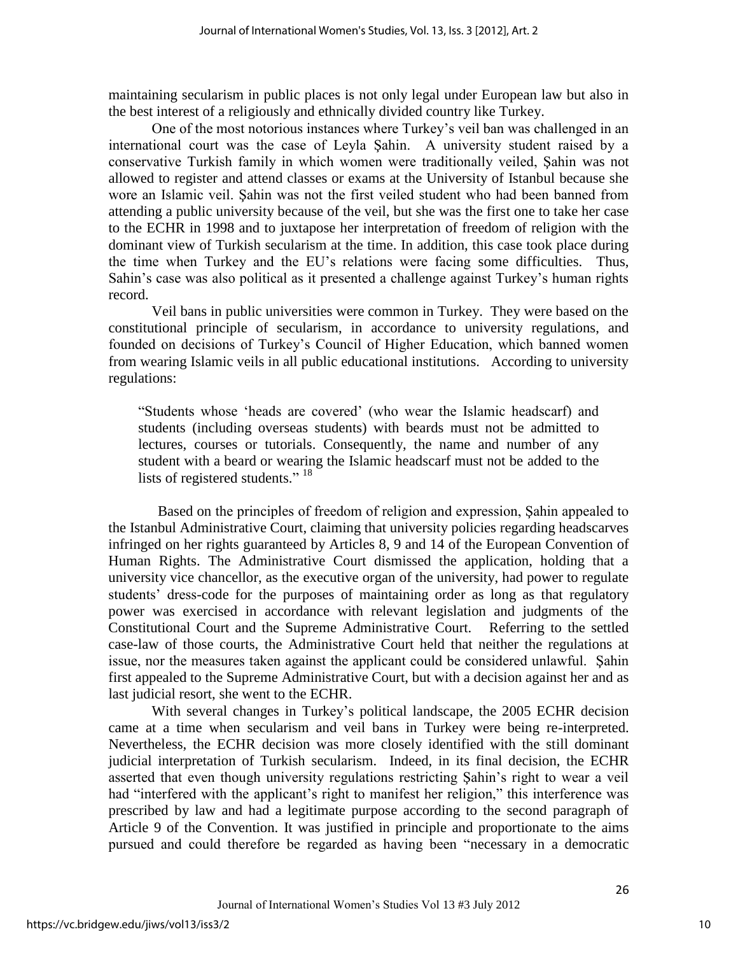maintaining secularism in public places is not only legal under European law but also in the best interest of a religiously and ethnically divided country like Turkey.

One of the most notorious instances where Turkey"s veil ban was challenged in an international court was the case of Leyla Şahin. A university student raised by a conservative Turkish family in which women were traditionally veiled, Şahin was not allowed to register and attend classes or exams at the University of Istanbul because she wore an Islamic veil. Şahin was not the first veiled student who had been banned from attending a public university because of the veil, but she was the first one to take her case to the ECHR in 1998 and to juxtapose her interpretation of freedom of religion with the dominant view of Turkish secularism at the time. In addition, this case took place during the time when Turkey and the EU"s relations were facing some difficulties. Thus, Sahin's case was also political as it presented a challenge against Turkey's human rights record.

Veil bans in public universities were common in Turkey. They were based on the constitutional principle of secularism, in accordance to university regulations, and founded on decisions of Turkey"s Council of Higher Education, which banned women from wearing Islamic veils in all public educational institutions. According to university regulations:

"Students whose "heads are covered" (who wear the Islamic headscarf) and students (including overseas students) with beards must not be admitted to lectures, courses or tutorials. Consequently, the name and number of any student with a beard or wearing the Islamic headscarf must not be added to the lists of registered students."<sup>18</sup>

 Based on the principles of freedom of religion and expression, Şahin appealed to the Istanbul Administrative Court, claiming that university policies regarding headscarves infringed on her rights guaranteed by Articles 8, 9 and 14 of the European Convention of Human Rights. The Administrative Court dismissed the application, holding that a university vice chancellor, as the executive organ of the university, had power to regulate students' dress-code for the purposes of maintaining order as long as that regulatory power was exercised in accordance with relevant legislation and judgments of the Constitutional Court and the Supreme Administrative Court. Referring to the settled case-law of those courts, the Administrative Court held that neither the regulations at issue, nor the measures taken against the applicant could be considered unlawful. Şahin first appealed to the Supreme Administrative Court, but with a decision against her and as last judicial resort, she went to the ECHR.

With several changes in Turkey"s political landscape, the 2005 ECHR decision came at a time when secularism and veil bans in Turkey were being re-interpreted. Nevertheless, the ECHR decision was more closely identified with the still dominant judicial interpretation of Turkish secularism. Indeed, in its final decision, the ECHR asserted that even though university regulations restricting Şahin"s right to wear a veil had "interfered with the applicant's right to manifest her religion," this interference was prescribed by law and had a legitimate purpose according to the second paragraph of Article 9 of the Convention. It was justified in principle and proportionate to the aims pursued and could therefore be regarded as having been "necessary in a democratic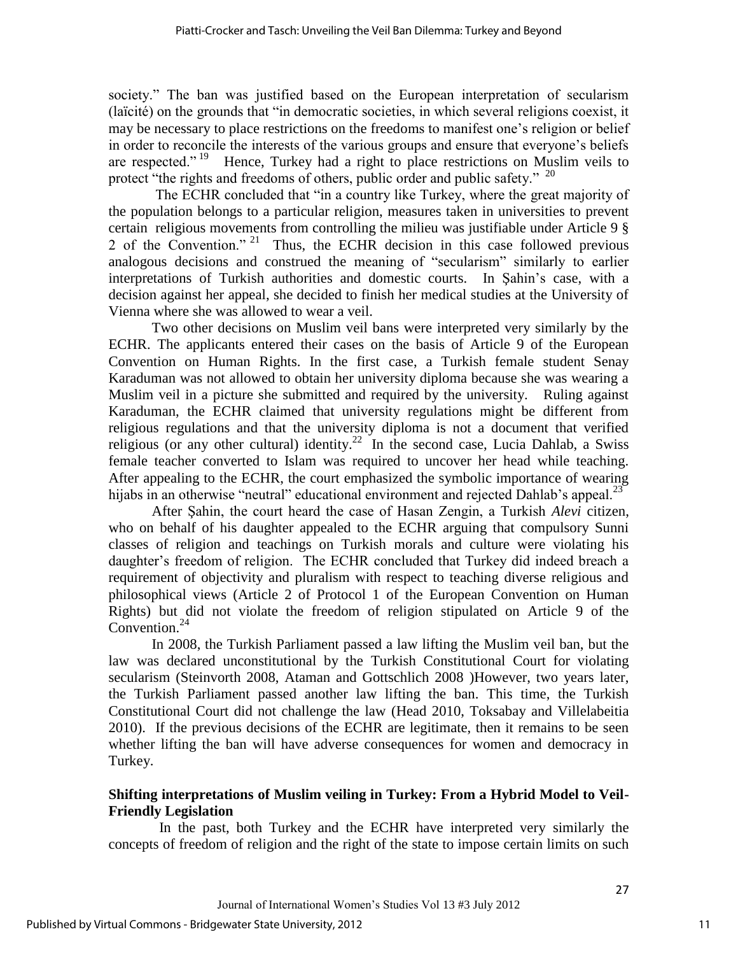society." The ban was justified based on the European interpretation of secularism (laïcité) on the grounds that "in democratic societies, in which several religions coexist, it may be necessary to place restrictions on the freedoms to manifest one"s religion or belief in order to reconcile the interests of the various groups and ensure that everyone"s beliefs are respected."<sup>19</sup> Hence, Turkey had a right to place restrictions on Muslim veils to protect "the rights and freedoms of others, public order and public safety."  $20$ 

The ECHR concluded that "in a country like Turkey, where the great majority of the population belongs to a particular religion, measures taken in universities to prevent certain religious movements from controlling the milieu was justifiable under Article 9 § 2 of the Convention." <sup>21</sup> Thus, the ECHR decision in this case followed previous analogous decisions and construed the meaning of "secularism" similarly to earlier interpretations of Turkish authorities and domestic courts. In Şahin"s case, with a decision against her appeal, she decided to finish her medical studies at the University of Vienna where she was allowed to wear a veil.

Two other decisions on Muslim veil bans were interpreted very similarly by the ECHR. The applicants entered their cases on the basis of Article 9 of the European Convention on Human Rights. In the first case, a Turkish female student Senay Karaduman was not allowed to obtain her university diploma because she was wearing a Muslim veil in a picture she submitted and required by the university. Ruling against Karaduman, the ECHR claimed that university regulations might be different from religious regulations and that the university diploma is not a document that verified religious (or any other cultural) identity.<sup>22</sup> In the second case, Lucia Dahlab, a Swiss female teacher converted to Islam was required to uncover her head while teaching. After appealing to the ECHR, the court emphasized the symbolic importance of wearing hijabs in an otherwise "neutral" educational environment and rejected Dahlab's appeal.<sup>23</sup>

After Şahin, the court heard the case of Hasan Zengin, a Turkish *Alevi* citizen, who on behalf of his daughter appealed to the ECHR arguing that compulsory Sunni classes of religion and teachings on Turkish morals and culture were violating his daughter"s freedom of religion. The ECHR concluded that Turkey did indeed breach a requirement of objectivity and pluralism with respect to teaching diverse religious and philosophical views (Article 2 of Protocol 1 of the European Convention on Human Rights) but did not violate the freedom of religion stipulated on Article 9 of the Convention. $^{24}$ 

In 2008, the Turkish Parliament passed a law lifting the Muslim veil ban, but the law was declared unconstitutional by the Turkish Constitutional Court for violating secularism (Steinvorth 2008, Ataman and Gottschlich 2008 )However, two years later, the Turkish Parliament passed another law lifting the ban. This time, the Turkish Constitutional Court did not challenge the law (Head 2010, Toksabay and Villelabeitia 2010). If the previous decisions of the ECHR are legitimate, then it remains to be seen whether lifting the ban will have adverse consequences for women and democracy in Turkey.

# **Shifting interpretations of Muslim veiling in Turkey: From a Hybrid Model to Veil-Friendly Legislation**

 In the past, both Turkey and the ECHR have interpreted very similarly the concepts of freedom of religion and the right of the state to impose certain limits on such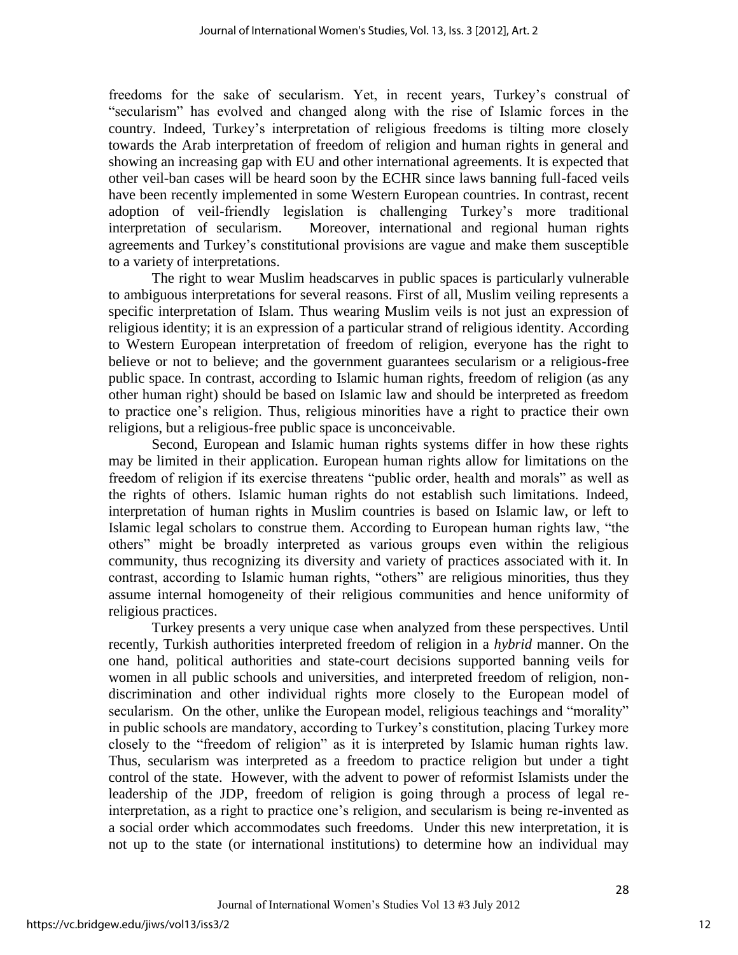freedoms for the sake of secularism. Yet, in recent years, Turkey's construal of "secularism" has evolved and changed along with the rise of Islamic forces in the country. Indeed, Turkey"s interpretation of religious freedoms is tilting more closely towards the Arab interpretation of freedom of religion and human rights in general and showing an increasing gap with EU and other international agreements. It is expected that other veil-ban cases will be heard soon by the ECHR since laws banning full-faced veils have been recently implemented in some Western European countries. In contrast, recent adoption of veil-friendly legislation is challenging Turkey"s more traditional interpretation of secularism. Moreover, international and regional human rights agreements and Turkey"s constitutional provisions are vague and make them susceptible to a variety of interpretations.

The right to wear Muslim headscarves in public spaces is particularly vulnerable to ambiguous interpretations for several reasons. First of all, Muslim veiling represents a specific interpretation of Islam. Thus wearing Muslim veils is not just an expression of religious identity; it is an expression of a particular strand of religious identity. According to Western European interpretation of freedom of religion, everyone has the right to believe or not to believe; and the government guarantees secularism or a religious-free public space. In contrast, according to Islamic human rights, freedom of religion (as any other human right) should be based on Islamic law and should be interpreted as freedom to practice one"s religion. Thus, religious minorities have a right to practice their own religions, but a religious-free public space is unconceivable.

Second, European and Islamic human rights systems differ in how these rights may be limited in their application. European human rights allow for limitations on the freedom of religion if its exercise threatens "public order, health and morals" as well as the rights of others. Islamic human rights do not establish such limitations. Indeed, interpretation of human rights in Muslim countries is based on Islamic law, or left to Islamic legal scholars to construe them. According to European human rights law, "the others" might be broadly interpreted as various groups even within the religious community, thus recognizing its diversity and variety of practices associated with it. In contrast, according to Islamic human rights, "others" are religious minorities, thus they assume internal homogeneity of their religious communities and hence uniformity of religious practices.

Turkey presents a very unique case when analyzed from these perspectives. Until recently, Turkish authorities interpreted freedom of religion in a *hybrid* manner. On the one hand, political authorities and state-court decisions supported banning veils for women in all public schools and universities, and interpreted freedom of religion, nondiscrimination and other individual rights more closely to the European model of secularism. On the other, unlike the European model, religious teachings and "morality" in public schools are mandatory, according to Turkey"s constitution, placing Turkey more closely to the "freedom of religion" as it is interpreted by Islamic human rights law. Thus, secularism was interpreted as a freedom to practice religion but under a tight control of the state. However, with the advent to power of reformist Islamists under the leadership of the JDP, freedom of religion is going through a process of legal reinterpretation, as a right to practice one"s religion, and secularism is being re-invented as a social order which accommodates such freedoms. Under this new interpretation, it is not up to the state (or international institutions) to determine how an individual may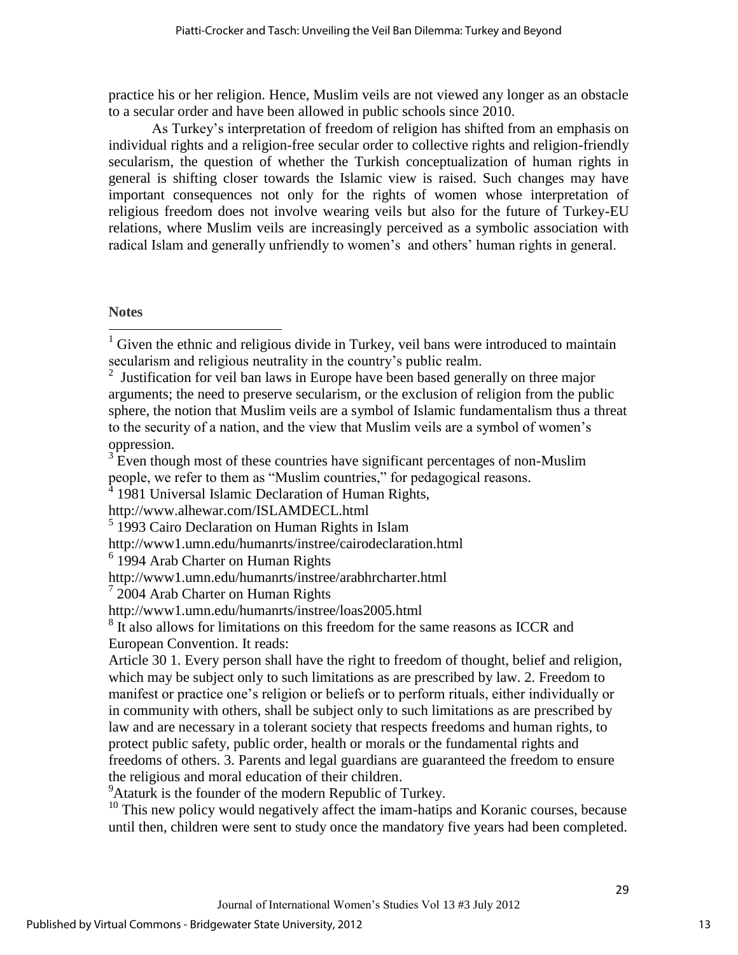practice his or her religion. Hence, Muslim veils are not viewed any longer as an obstacle to a secular order and have been allowed in public schools since 2010.

As Turkey"s interpretation of freedom of religion has shifted from an emphasis on individual rights and a religion-free secular order to collective rights and religion-friendly secularism, the question of whether the Turkish conceptualization of human rights in general is shifting closer towards the Islamic view is raised. Such changes may have important consequences not only for the rights of women whose interpretation of religious freedom does not involve wearing veils but also for the future of Turkey-EU relations, where Muslim veils are increasingly perceived as a symbolic association with radical Islam and generally unfriendly to women's and others' human rights in general.

### **Notes**

 $\overline{a}$ 

- <http://www1.umn.edu/humanrts/instree/cairodeclaration.html>
- <sup>6</sup> 1994 Arab Charter on Human Rights

<sup>9</sup>Ataturk is the founder of the modern Republic of Turkey.

<sup>10</sup> This new policy would negatively affect the imam-hatips and Koranic courses, because until then, children were sent to study once the mandatory five years had been completed.

 $1$  Given the ethnic and religious divide in Turkey, veil bans were introduced to maintain secularism and religious neutrality in the country's public realm.

<sup>&</sup>lt;sup>2</sup> Justification for veil ban laws in Europe have been based generally on three major arguments; the need to preserve secularism, or the exclusion of religion from the public sphere, the notion that Muslim veils are a symbol of Islamic fundamentalism thus a threat to the security of a nation, and the view that Muslim veils are a symbol of women"s oppression.

<sup>&</sup>lt;sup>3</sup> Even though most of these countries have significant percentages of non-Muslim people, we refer to them as "Muslim countries," for pedagogical reasons.<br><sup>4</sup> 1081 Universal Islamic Declaration of Human Bights.

<sup>1981</sup> Universal Islamic Declaration of Human Rights,

http://www.alhewar.com/ISLAMDECL.html

<sup>&</sup>lt;sup>5</sup> 1993 Cairo Declaration on Human Rights in Islam

http://www1.umn.edu/humanrts/instree/arabhrcharter.html

 $72004$  Arab Charter on Human Rights

<http://www1.umn.edu/humanrts/instree/loas2005.html>

<sup>&</sup>lt;sup>8</sup> It also allows for limitations on this freedom for the same reasons as ICCR and European Convention. It reads:

Article 30 1. Every person shall have the right to freedom of thought, belief and religion, which may be subject only to such limitations as are prescribed by law. 2. Freedom to manifest or practice one's religion or beliefs or to perform rituals, either individually or in community with others, shall be subject only to such limitations as are prescribed by law and are necessary in a tolerant society that respects freedoms and human rights, to protect public safety, public order, health or morals or the fundamental rights and freedoms of others. 3. Parents and legal guardians are guaranteed the freedom to ensure the religious and moral education of their children.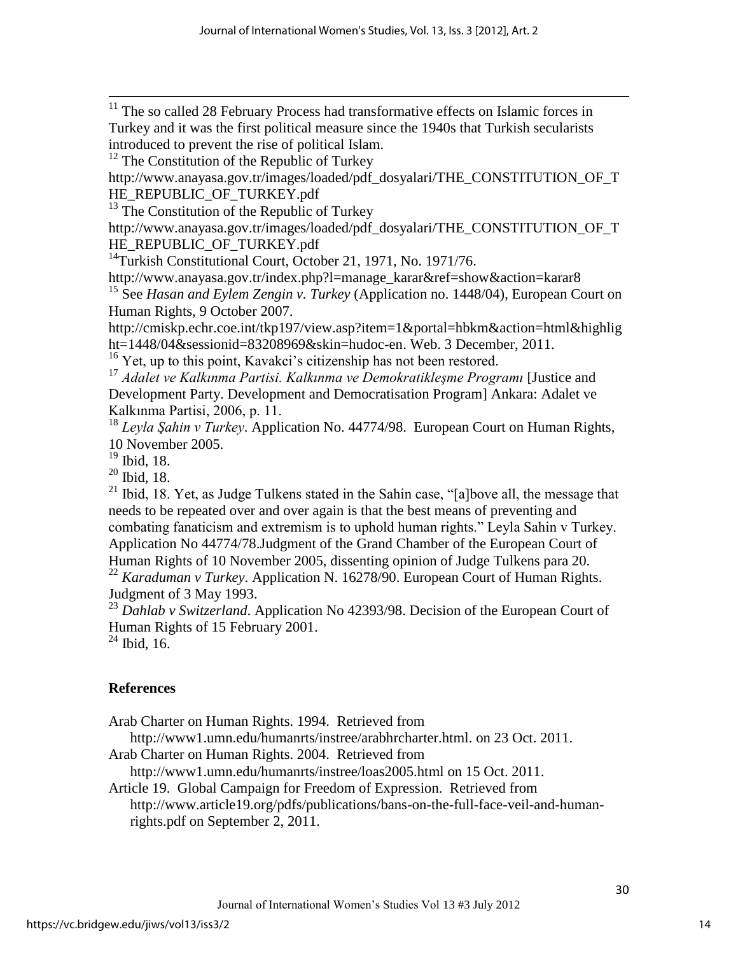$11$  The so called 28 February Process had transformative effects on Islamic forces in Turkey and it was the first political measure since the 1940s that Turkish secularists introduced to prevent the rise of political Islam.

<sup>12</sup> The Constitution of the Republic of Turkey

[http://www.anayasa.gov.tr/images/loaded/pdf\\_dosyalari/THE\\_CONSTITUTION\\_OF\\_T](http://www.anayasa.gov.tr/images/loaded/pdf_dosyalari/THE_CONSTITUTION_OF_THE_REPUBLIC_OF_TURKEY.pdf) HE\_REPUBLIC\_OF\_TURKEY.pdf

 $13$  The Constitution of the Republic of Turkey

[http://www.anayasa.gov.tr/images/loaded/pdf\\_dosyalari/THE\\_CONSTITUTION\\_OF\\_T](http://www.anayasa.gov.tr/images/loaded/pdf_dosyalari/THE_CONSTITUTION_OF_THE_REPUBLIC_OF_TURKEY.pdf) [HE\\_REPUBLIC\\_OF\\_TURKEY.pdf](http://www.anayasa.gov.tr/images/loaded/pdf_dosyalari/THE_CONSTITUTION_OF_THE_REPUBLIC_OF_TURKEY.pdf) 

<sup>14</sup>Turkish Constitutional Court, October 21, 1971, No. 1971/76.

[http://www.anayasa.gov.tr/index.php?l=manage\\_karar&ref=show&action=karar8](http://www.anayasa.gov.tr/index.php?l=manage_karar&ref=show&action=karar8) <sup>15</sup> See *Hasan and Eylem Zengin v. Turkey* (Application no. 1448/04), European Court on

Human Rights, 9 October 2007.

[http://cmiskp.echr.coe.int/tkp197/view.asp?item=1&portal=hbkm&action=html&highlig](http://cmiskp.echr.coe.int/tkp197/view.asp?item=1&portal=hbkm&action=html&highlight=1448/04&sessionid=83208969&skin=hudoc-en) [ht=1448/04&sessionid=83208969&skin=hudoc-en.](http://cmiskp.echr.coe.int/tkp197/view.asp?item=1&portal=hbkm&action=html&highlight=1448/04&sessionid=83208969&skin=hudoc-en) Web. 3 December, 2011.

<sup>16</sup> Yet, up to this point, Kavakci's citizenship has not been restored.

<sup>17</sup> *Adalet ve Kalkınma Partisi. Kalkınma ve Demokratikleşme Programı* [Justice and Development Party. Development and Democratisation Program] Ankara: Adalet ve Kalkınma Partisi, 2006, p. 11.

<sup>18</sup> *Leyla Şahin v Turkey*. Application No. 44774/98. European Court on Human Rights, 10 November 2005.

<sup>19</sup> Ibid, 18.

 $\overline{\phantom{a}}$ 

<sup>20</sup> Ibid, 18.

 $21$  Ibid, 18. Yet, as Judge Tulkens stated in the Sahin case, "[a]bove all, the message that needs to be repeated over and over again is that the best means of preventing and combating fanaticism and extremism is to uphold human rights." Leyla Sahin v Turkey. Application No 44774/78.Judgment of the Grand Chamber of the European Court of Human Rights of 10 November 2005, dissenting opinion of Judge Tulkens para 20.

<sup>22</sup> *Karaduman v Turkey*. Application N. 16278/90. European Court of Human Rights. Judgment of 3 May 1993.

<sup>23</sup> *Dahlab v Switzerland*. Application No 42393/98. Decision of the European Court of Human Rights of 15 February 2001.

 $24$  Ibid, 16.

# **References**

Arab Charter on Human Rights. 1994. Retrieved from

[http://www1.umn.edu/humanrts/instree/arabhrcharter.html.](http://www1.umn.edu/humanrts/instree/arabhrcharter.html) on 23 Oct. 2011.

Arab Charter on Human Rights. 2004. Retrieved from

<http://www1.umn.edu/humanrts/instree/loas2005.html> on 15 Oct. 2011.

Article 19. Global Campaign for Freedom of Expression. Retrieved from [http://www.article19.org/pdfs/publications/bans-on-the-full-face-veil-and-human](http://www.article19.org/pdfs/publications/bans-on-the-full-face-veil-and-human-rights.pdf)[rights.pdf](http://www.article19.org/pdfs/publications/bans-on-the-full-face-veil-and-human-rights.pdf) on September 2, 2011.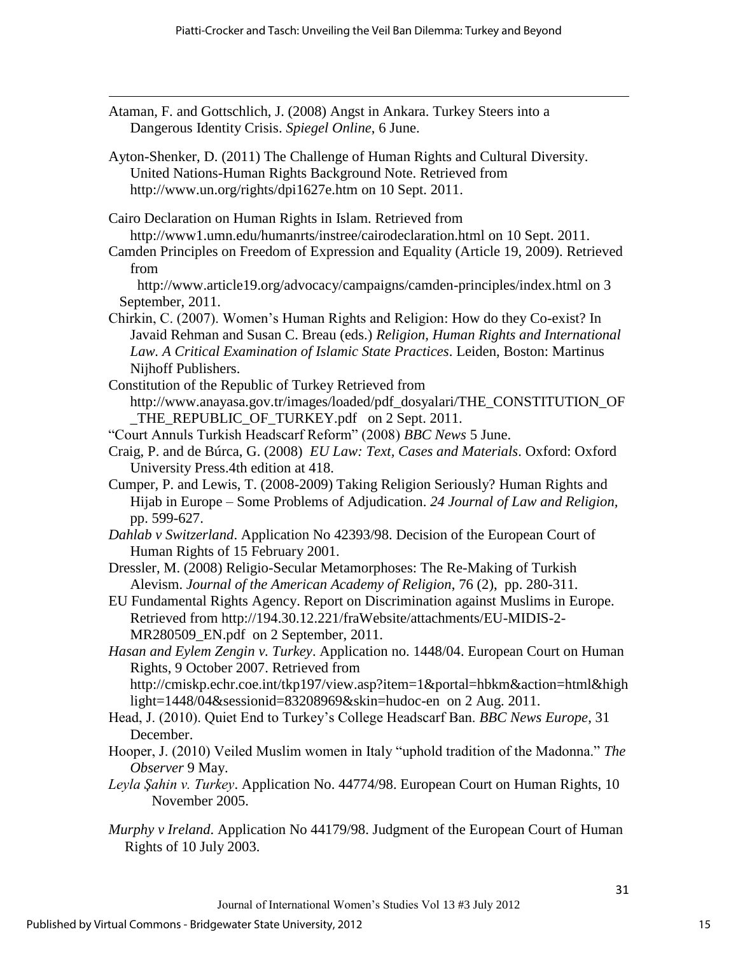Ataman, F. and Gottschlich, J. (2008) Angst in Ankara. Turkey Steers into a Dangerous Identity Crisis. *Spiegel Online*, 6 June.

Ayton-Shenker, D. (2011) The Challenge of Human Rights and Cultural Diversity. United Nations-Human Rights Background Note. Retrieved from <http://www.un.org/rights/dpi1627e.htm> on 10 Sept. 2011.

Cairo Declaration on Human Rights in Islam. Retrieved from <http://www1.umn.edu/humanrts/instree/cairodeclaration.html> on 10 Sept. 2011.

Camden Principles on Freedom of Expression and Equality (Article 19, 2009). Retrieved from

 <http://www.article19.org/advocacy/campaigns/camden-principles/index.html> on 3 September, 2011.

- Chirkin, C. (2007). Women"s Human Rights and Religion: How do they Co-exist? In Javaid Rehman and Susan C. Breau (eds.) *Religion, Human Rights and International Law. A Critical Examination of Islamic State Practices*. Leiden, Boston: Martinus Nijhoff Publishers.
- Constitution of the Republic of Turkey Retrieved from [http://www.anayasa.gov.tr/images/loaded/pdf\\_dosyalari/THE\\_CONSTITUTION\\_OF](http://www.anayasa.gov.tr/images/loaded/pdf_dosyalari/THE_CONSTITUTION_OF_THE_REPUBLIC_OF_TURKEY.pdf) [\\_THE\\_REPUBLIC\\_OF\\_TURKEY.pdf](http://www.anayasa.gov.tr/images/loaded/pdf_dosyalari/THE_CONSTITUTION_OF_THE_REPUBLIC_OF_TURKEY.pdf) on 2 Sept. 2011.
- "Court Annuls Turkish Headscarf Reform" (2008) *BBC News* 5 June.
- Craig, P. and de Búrca, G. (2008) *EU Law: Text, Cases and Materials*. Oxford: Oxford University Press.4th edition at 418.
- Cumper, P. and Lewis, T. (2008-2009) Taking Religion Seriously? Human Rights and Hijab in Europe – Some Problems of Adjudication. *24 Journal of Law and Religion,*  pp. 599-627.
- *Dahlab v Switzerland*. Application No 42393/98. Decision of the European Court of Human Rights of 15 February 2001.
- Dressler, M. (2008) Religio-Secular Metamorphoses: The Re-Making of Turkish Alevism. *Journal of the American Academy of Religion*, 76 (2), pp. 280-311.
- EU Fundamental Rights Agency. Report on Discrimination against Muslims in Europe. Retrieved from [http://194.30.12.221/fraWebsite/attachments/EU-MIDIS-2-](http://194.30.12.221/fraWebsite/attachments/EU-MIDIS-2-MR280509_EN.pdf) [MR280509\\_EN.pdf](http://194.30.12.221/fraWebsite/attachments/EU-MIDIS-2-MR280509_EN.pdf) on 2 September, 2011.

*Hasan and Eylem Zengin v. Turkey*. Application no. 1448/04. European Court on Human Rights, 9 October 2007. Retrieved from [http://cmiskp.echr.coe.int/tkp197/view.asp?item=1&portal=hbkm&action=html&high](http://cmiskp.echr.coe.int/tkp197/view.asp?item=1&portal=hbkm&action=html&highlight=1448/04&sessionid=83208969&skin=hudoc-en)

- [light=1448/04&sessionid=83208969&skin=hudoc-en](http://cmiskp.echr.coe.int/tkp197/view.asp?item=1&portal=hbkm&action=html&highlight=1448/04&sessionid=83208969&skin=hudoc-en) on 2 Aug. 2011. Head, J. (2010). Quiet End to Turkey"s College Headscarf Ban. *BBC News Europe*, 31
	- December.

 $\overline{\phantom{a}}$ 

- Hooper, J. (2010) Veiled Muslim women in Italy "uphold tradition of the Madonna." *The Observer* 9 May.
- *Leyla Şahin v. Turkey*. Application No. 44774/98. European Court on Human Rights, 10 November 2005.
- *Murphy v Ireland*. Application No 44179/98. Judgment of the European Court of Human Rights of 10 July 2003.